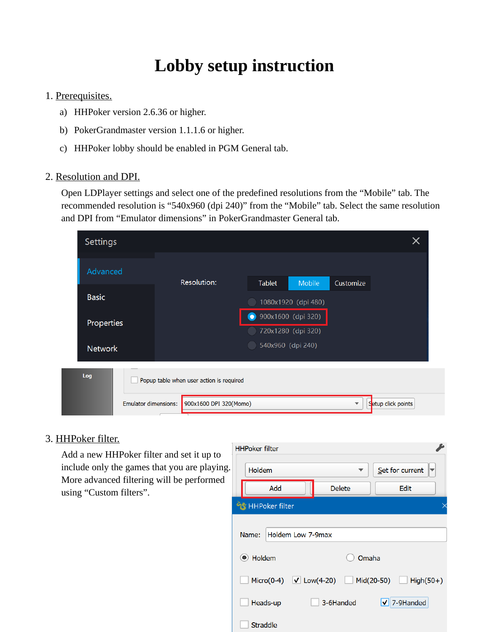# **Lobby setup instruction**

# 1. Prerequisites.

- a) HHPoker version 2.6.36 or higher.
- b) PokerGrandmaster version 1.1.1.6 or higher.
- c) HHPoker lobby should be enabled in PGM General tab.

### 2. Resolution and DPI.

Open LDPlayer settings and select one of the predefined resolutions from the "Mobile" tab. The recommended resolution is "540x960 (dpi 240)" from the "Mobile" tab. Select the same resolution and DPI from "Emulator dimensions" in PokerGrandmaster General tab.

| Settings       |                             |                                          |                   |                                          |           | X                  |  |
|----------------|-----------------------------|------------------------------------------|-------------------|------------------------------------------|-----------|--------------------|--|
| Advanced       |                             | Resolution:                              |                   |                                          |           |                    |  |
| <b>Basic</b>   |                             |                                          | <b>Tablet</b>     | <b>Mobile</b><br>1080x1920 (dpi 480)     | Customize |                    |  |
| Properties     |                             |                                          | $\bullet$         | 900x1600 (dpi 320)<br>720x1280 (dpi 320) |           |                    |  |
| <b>Network</b> |                             |                                          | 540x960 (dpi 240) |                                          |           |                    |  |
| Log            |                             | Popup table when user action is required |                   |                                          |           |                    |  |
|                | <b>Emulator dimensions:</b> | 900x1600 DPI 320(Momo)                   |                   |                                          |           | Setup click points |  |

# 3. HHPoker filter.

Add a new HHPoker filter and set it up to include only the games that you are playing. More advanced filtering will be performed using "Custom filters".

| <b>HHPoker filter</b>                                              |                   |                      |  |  |  |  |  |
|--------------------------------------------------------------------|-------------------|----------------------|--|--|--|--|--|
| Holdem                                                             |                   | Set for current      |  |  |  |  |  |
| Add                                                                | <b>Delete</b>     | Edit                 |  |  |  |  |  |
| HHPoker filter                                                     |                   |                      |  |  |  |  |  |
| Name:                                                              | Holdem Low 7-9max |                      |  |  |  |  |  |
| Holdem<br>$\left( \bullet \right)$                                 |                   | Omaha                |  |  |  |  |  |
| $\sqrt{}$ Low(4-20)<br>$Micro(0-4)$<br>$Mid(20-50)$<br>$High(50+)$ |                   |                      |  |  |  |  |  |
| Heads-up                                                           | 3-6Handed         | $\sqrt{7}$ 7-9Handed |  |  |  |  |  |
| Straddle                                                           |                   |                      |  |  |  |  |  |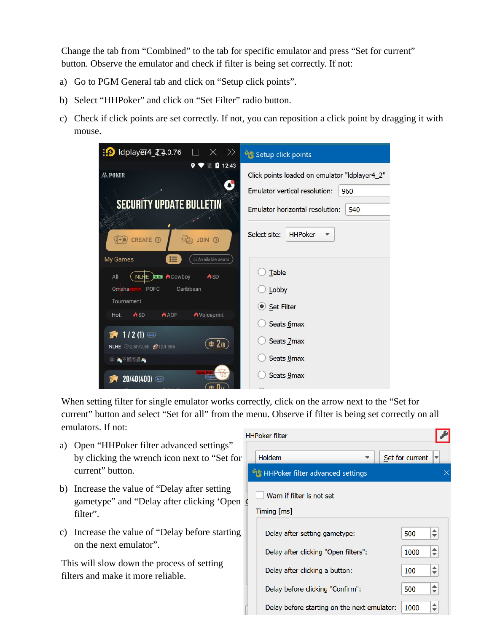Change the tab from "Combined" to the tab for specific emulator and press "Set for current" button. Observe the emulator and check if filter is being set correctly. If not:

- a) Go to PGM General tab and click on "Setup click points".
- b) Select "HHPoker" and click on "Set Filter" radio button.
- c) Check if click points are set correctly. If not, you can reposition a click point by dragging it with mouse.



When setting filter for single emulator works correctly, click on the arrow next to the "Set for current" button and select "Set for all" from the menu. Observe if filter is being set correctly on all emulators. If not:

- a) Open "HHPoker filter advanced settings" by clicking the wrench icon next to "Set for current" button.
- b) Increase the value of "Delay after setting gametype" and "Delay after clicking 'Open 9 filter".
- c) Increase the value of "Delay before starting on the next emulator".

This will slow down the process of setting filters and make it more reliable.

| <b>HPoker filter</b>                          |                 |                              |
|-----------------------------------------------|-----------------|------------------------------|
| Holdem                                        | Set for current |                              |
|                                               |                 |                              |
| Warn if filter is not set<br>$T$ iming $[ms]$ |                 |                              |
| Delay after setting gametype:                 | 500             | $\div$                       |
| Delay after clicking "Open filters":          | 1000            | $\overline{\phantom{a}}$     |
| Delay after clicking a button:                | 100             | ▲<br>$\overline{\mathbf{v}}$ |
| Delay before clicking "Confirm":              | 500             | ▴<br>$\overline{\mathbf{v}}$ |
| Delay before starting on the next emulator:   | 1000            |                              |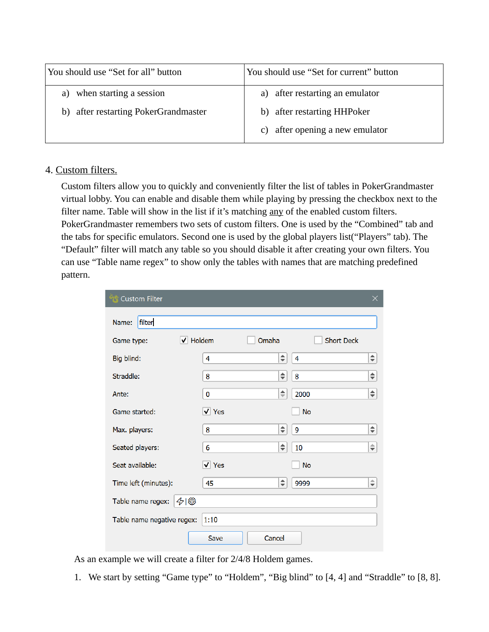| You should use "Set for all" button  | You should use "Set for current" button |  |  |  |
|--------------------------------------|-----------------------------------------|--|--|--|
| when starting a session<br>a)        | a) after restarting an emulator         |  |  |  |
| b) after restarting PokerGrandmaster | b) after restarting HHPoker             |  |  |  |
|                                      | after opening a new emulator<br>C)      |  |  |  |

#### 4. Custom filters.

Custom filters allow you to quickly and conveniently filter the list of tables in PokerGrandmaster virtual lobby. You can enable and disable them while playing by pressing the checkbox next to the filter name. Table will show in the list if it's matching any of the enabled custom filters. PokerGrandmaster remembers two sets of custom filters. One is used by the "Combined" tab and the tabs for specific emulators. Second one is used by the global players list("Players" tab). The "Default" filter will match any table so you should disable it after creating your own filters. You can use "Table name regex" to show only the tables with names that are matching predefined pattern.

| <b>Custom Filter</b>       |                |                    |                   |                    |
|----------------------------|----------------|--------------------|-------------------|--------------------|
| filter<br>Name:            |                |                    |                   |                    |
| Game type:                 | V Holdem       | Omaha              | <b>Short Deck</b> |                    |
| Big blind:                 | 4              | $\hat{\mathbb{L}}$ | $\overline{4}$    | $\div$             |
| Straddle:                  | 8              | ♦                  | 8                 | $\hat{\mathbf{z}}$ |
| Ante:                      | $\bf{0}$       | $\div$             | 2000              | $\div$             |
| Game started:              | $\sqrt{Y}$ es  |                    | <b>No</b>         |                    |
| Max. players:              | 8              | $\div$             | 9                 | $\div$             |
| Seated players:            | 6              | $\div$             | 10                | $\hat{\mathbb{F}}$ |
| Seat available:            | $\sqrt{ }$ Yes |                    | <b>No</b>         |                    |
| Time left (minutes):       | 45             | $\div$             | 9999              | $\Rightarrow$      |
| Table name regex:          | 48             |                    |                   |                    |
| Table name negative regex: | 1:10           |                    |                   |                    |
|                            | Save           | Cancel             |                   |                    |

As an example we will create a filter for 2/4/8 Holdem games.

1. We start by setting "Game type" to "Holdem", "Big blind" to [4, 4] and "Straddle" to [8, 8].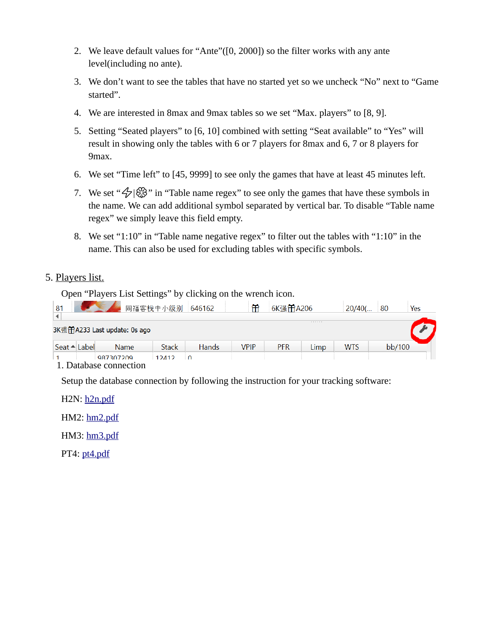- 2. We leave default values for "Ante"([0, 2000]) so the filter works with any ante level(including no ante).
- 3. We don't want to see the tables that have no started yet so we uncheck "No" next to "Game started".
- 4. We are interested in 8max and 9max tables so we set "Max. players" to [8, 9].
- 5. Setting "Seated players" to [6, 10] combined with setting "Seat available" to "Yes" will result in showing only the tables with 6 or 7 players for 8max and 6, 7 or 8 players for 9max.
- 6. We set "Time left" to [45, 9999] to see only the games that have at least 45 minutes left.
- 7. We set " $\mathcal{D}$ | $\mathcal{B}$ " in "Table name regex" to see only the games that have these symbols in the name. We can add additional symbol separated by vertical bar. To disable "Table name regex" we simply leave this field empty.
- 8. We set "1:10" in "Table name negative regex" to filter out the tables with "1:10" in the name. This can also be used for excluding tables with specific symbols.

# 5. Players list.

Open "Players List Settings" by clicking on the wrench icon.

| 81                           |             | 同福客栈中小级别 646162 |              | 衎           | 6K强 <b>角</b> A206 |      | $20/40$ (  | 80     | Yes |
|------------------------------|-------------|-----------------|--------------|-------------|-------------------|------|------------|--------|-----|
| 3K强角A233 Last update: 0s ago |             |                 |              |             |                   | .    |            |        |     |
| Seat ▲ Label                 | <b>Name</b> | <b>Stack</b>    | <b>Hands</b> | <b>VPIP</b> | <b>PFR</b>        | Limp | <b>WTS</b> | bb/100 |     |
| 1. Database connection       | 987307209   | $12112$         | $\bigcap$    |             |                   |      |            |        |     |

Setup the database connection by following the instruction for your tracking software:

H2N: h<sub>2n.pdf</sub>

HM2:<hm2.pdf>

HM3: hm3.pdf

PT4: <pt4.pdf>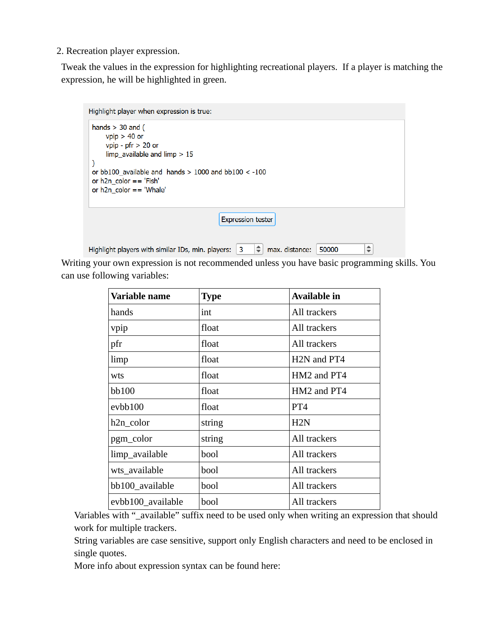2. Recreation player expression.

Tweak the values in the expression for highlighting recreational players. If a player is matching the expression, he will be highlighted in green.

```
Highlight player when expression is true:
hands > 30 and (
     vpip > 40 or
     vpip - pfr > 20 or
     limp available and limp > 15\lambdaor bb100_available and hands > 1000 and bb100 < -100
or h2n color == 'Fish'
or h2n color == 'Whale'
                                             Expression tester
                                                         \bigcirc max. distance: 50000
                                                                                               \biguplusHighlight players with similar IDs, min. players: \vert 3 \vert
```
Writing your own expression is not recommended unless you have basic programming skills. You can use following variables:

| Variable name     | <b>Type</b> | Available in                         |
|-------------------|-------------|--------------------------------------|
| hands             | int         | All trackers                         |
| vpip              | float       | All trackers                         |
| pfr               | float       | All trackers                         |
| limp              | float       | H <sub>2</sub> N and PT <sub>4</sub> |
| wts               | float       | HM2 and PT4                          |
| bb100             | float       | HM2 and PT4                          |
| evbb100           | float       | PT4                                  |
| h2n_color         | string      | H2N                                  |
| pgm_color         | string      | All trackers                         |
| limp_available    | bool        | All trackers                         |
| wts_available     | bool        | All trackers                         |
| bb100_available   | bool        | All trackers                         |
| evbb100_available | bool        | All trackers                         |

Variables with "\_available" suffix need to be used only when writing an expression that should work for multiple trackers.

String variables are case sensitive, support only English characters and need to be enclosed in single quotes.

More info about expression syntax can be found here: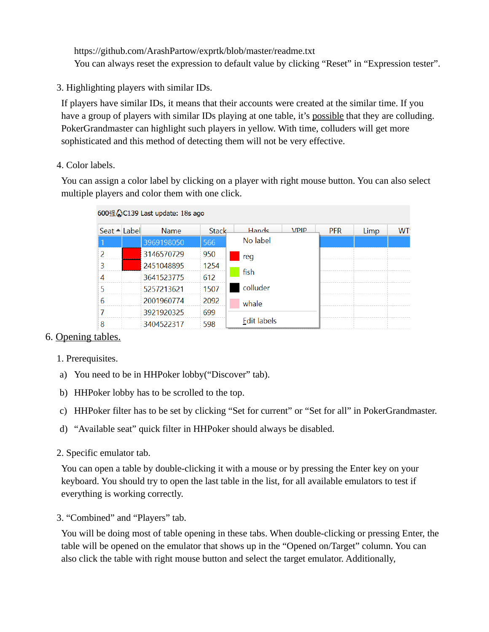https://github.com/ArashPartow/exprtk/blob/master/readme.txt You can always reset the expression to default value by clicking "Reset" in "Expression tester".

3. Highlighting players with similar IDs.

If players have similar IDs, it means that their accounts were created at the similar time. If you have a group of players with similar IDs playing at one table, it's possible that they are colluding. PokerGrandmaster can highlight such players in yellow. With time, colluders will get more sophisticated and this method of detecting them will not be very effective.

4. Color labels.

You can assign a color label by clicking on a player with right mouse button. You can also select multiple players and color them with one click.

|                          | 600强 $\Diamond$ C139 Last update: 18s ago |              |             |             |            |      |     |
|--------------------------|-------------------------------------------|--------------|-------------|-------------|------------|------|-----|
| Seat ▲ Label             | <b>Name</b>                               | <b>Stack</b> | Hands       | <b>VPIP</b> | <b>PFR</b> | Limp | WT: |
|                          | 3969198050                                | 566          | No label    |             |            |      |     |
| $\overline{\phantom{a}}$ | 3146570729                                | 950          | reg         |             |            |      |     |
| 3                        | 2451048895                                | 1254         | fish        |             |            |      |     |
| 4                        | 3641523775                                | 612          |             |             |            |      |     |
| 5                        | 5257213621                                | 1507         | colluder    |             |            |      |     |
| 6                        | 2001960774                                | 2092         | whale       |             |            |      |     |
|                          | 3921920325                                | 699          |             |             |            |      |     |
| 8                        | 3404522317                                | 598          | Edit labels |             |            |      |     |

# 6. Opening tables.

- 1. Prerequisites.
- a) You need to be in HHPoker lobby("Discover" tab).
- b) HHPoker lobby has to be scrolled to the top.
- c) HHPoker filter has to be set by clicking "Set for current" or "Set for all" in PokerGrandmaster.
- d) "Available seat" quick filter in HHPoker should always be disabled.
- 2. Specific emulator tab.

You can open a table by double-clicking it with a mouse or by pressing the Enter key on your keyboard. You should try to open the last table in the list, for all available emulators to test if everything is working correctly.

3. "Combined" and "Players" tab.

You will be doing most of table opening in these tabs. When double-clicking or pressing Enter, the table will be opened on the emulator that shows up in the "Opened on/Target" column. You can also click the table with right mouse button and select the target emulator. Additionally,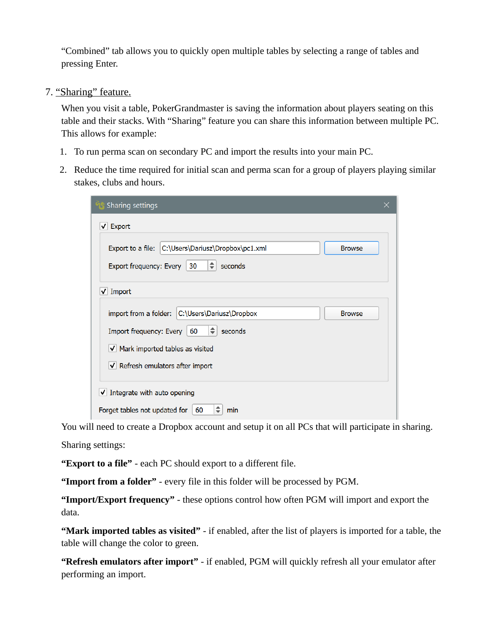"Combined" tab allows you to quickly open multiple tables by selecting a range of tables and pressing Enter.

7. "Sharing" feature.

When you visit a table, PokerGrandmaster is saving the information about players seating on this table and their stacks. With "Sharing" feature you can share this information between multiple PC. This allows for example:

- 1. To run perma scan on secondary PC and import the results into your main PC.
- 2. Reduce the time required for initial scan and perma scan for a group of players playing similar stakes, clubs and hours.

| Sharing settings                                                                                                                                                                                        |  |
|---------------------------------------------------------------------------------------------------------------------------------------------------------------------------------------------------------|--|
| $\sqrt{\phantom{a}}$ Export                                                                                                                                                                             |  |
| C:\Users\Dariusz\Dropbox\pc1.xml<br>Export to a file:<br><b>Browse</b><br>÷<br>seconds<br>Export frequency: Every<br>30                                                                                 |  |
| $\sqrt{ }$ Import                                                                                                                                                                                       |  |
| C:\Users\Dariusz\Dropbox<br>import from a folder:<br><b>Browse</b><br>Import frequency: Every   60<br>$\Rightarrow$<br>seconds<br>V Mark imported tables as visited<br>V Refresh emulators after import |  |
| $\sqrt{}$ Integrate with auto opening<br>÷<br>Forget tables not updated for<br>60<br>min                                                                                                                |  |

You will need to create a Dropbox account and setup it on all PCs that will participate in sharing. Sharing settings:

**"Export to a file"** - each PC should export to a different file.

**"Import from a folder"** - every file in this folder will be processed by PGM.

**"Import/Export frequency"** - these options control how often PGM will import and export the data.

**"Mark imported tables as visited"** - if enabled, after the list of players is imported for a table, the table will change the color to green.

**"Refresh emulators after import"** - if enabled, PGM will quickly refresh all your emulator after performing an import.